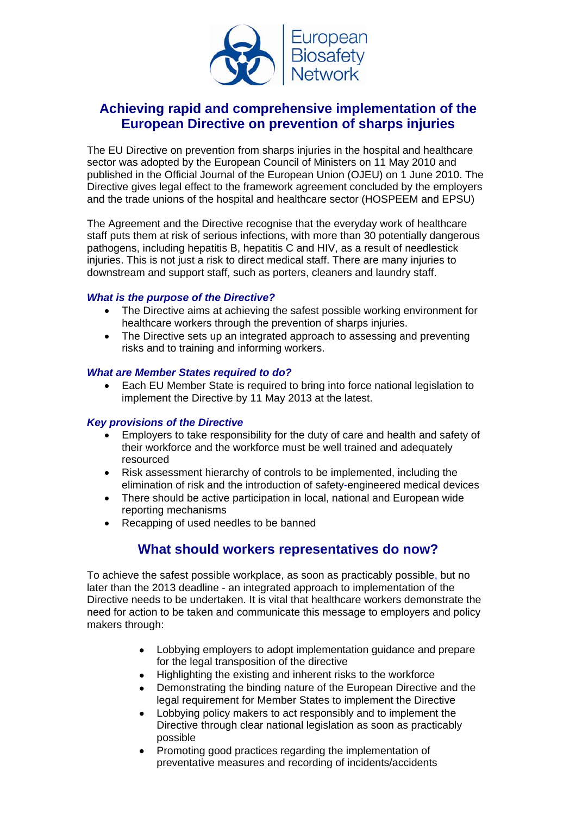

# **Achieving rapid and comprehensive implementation of the European Directive on prevention of sharps injuries**

The EU Directive on prevention from sharps injuries in the hospital and healthcare sector was adopted by the European Council of Ministers on 11 May 2010 and published in the Official Journal of the European Union (OJEU) on 1 June 2010. The Directive gives legal effect to the framework agreement concluded by the employers and the trade unions of the hospital and healthcare sector (HOSPEEM and EPSU)

The Agreement and the Directive recognise that the everyday work of healthcare staff puts them at risk of serious infections, with more than 30 potentially dangerous pathogens, including hepatitis B, hepatitis C and HIV, as a result of needlestick injuries. This is not just a risk to direct medical staff. There are many injuries to downstream and support staff, such as porters, cleaners and laundry staff.

## *What is the purpose of the Directive?*

- The Directive aims at achieving the safest possible working environment for healthcare workers through the prevention of sharps injuries.
- The Directive sets up an integrated approach to assessing and preventing risks and to training and informing workers.

### *What are Member States required to do?*

• Each EU Member State is required to bring into force national legislation to implement the Directive by 11 May 2013 at the latest.

## *Key provisions of the Directive*

- Employers to take responsibility for the duty of care and health and safety of their workforce and the workforce must be well trained and adequately resourced
- Risk assessment hierarchy of controls to be implemented, including the elimination of risk and the introduction of safety-engineered medical devices
- There should be active participation in local, national and European wide reporting mechanisms
- Recapping of used needles to be banned

# **What should workers representatives do now?**

To achieve the safest possible workplace, as soon as practicably possible, but no later than the 2013 deadline - an integrated approach to implementation of the Directive needs to be undertaken. It is vital that healthcare workers demonstrate the need for action to be taken and communicate this message to employers and policy makers through:

- Lobbying employers to adopt implementation guidance and prepare for the legal transposition of the directive
- Highlighting the existing and inherent risks to the workforce
- Demonstrating the binding nature of the European Directive and the legal requirement for Member States to implement the Directive
- Lobbying policy makers to act responsibly and to implement the Directive through clear national legislation as soon as practicably possible
- Promoting good practices regarding the implementation of preventative measures and recording of incidents/accidents